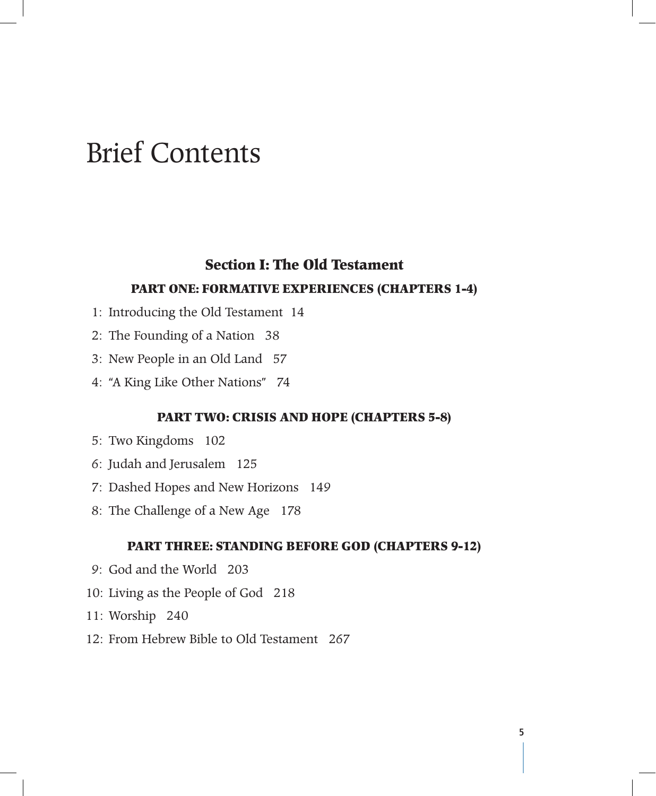# Brief Contents

## **Section I: The Old Testament**

#### **Part One: Formative Experiences (Chapters 1-4)**

- 1: Introducing the Old Testament 14
- 2: The Founding of a Nation 38
- 3: New People in an Old Land 57
- 4: "A King Like Other Nations" 74

#### **Part Two: Crisis and Hope (Chapters 5-8)**

- 5: Two Kingdoms 102
- 6: Judah and Jerusalem 125
- 7: Dashed Hopes and New Horizons 149
- 8: The Challenge of a New Age 178

#### **Part Three: Standing before God (Chapters 9-12)**

- 9: God and the World 203
- 10: Living as the People of God 218
- 11: Worship 240
- 12: From Hebrew Bible to Old Testament 267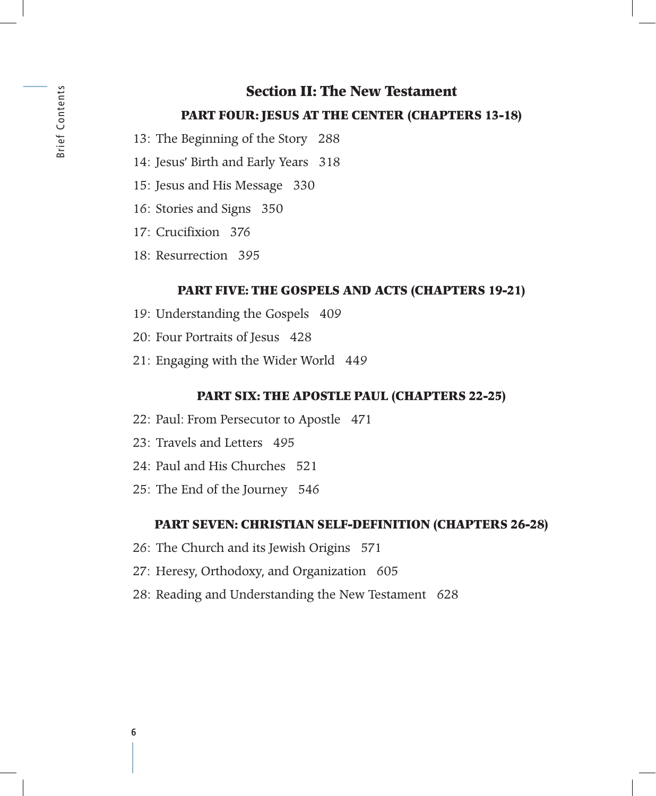#### **Part Four: Jesus at the Center (Chapters 13-18)**

- 13: The Beginning of the Story 288
- 14: Jesus' Birth and Early Years 318
- 15: Jesus and His Message 330
- 16: Stories and Signs 350
- 17: Crucifixion 376
- 18: Resurrection 395

#### **Part Five: The Gospels and Acts (Chapters 19-21)**

- 19: Understanding the Gospels 409
- 20: Four Portraits of Jesus 428
- 21: Engaging with the Wider World 449

#### **Part Six: The Apostle Paul (Chapters 22-25)**

- 22: Paul: From Persecutor to Apostle 471
- 23: Travels and Letters 495
- 24: Paul and His Churches 521
- 25: The End of the Journey 546

#### **Part Seven: Christian Self-Definition (Chapters 26-28)**

- 26: The Church and its Jewish Origins 571
- 27: Heresy, Orthodoxy, and Organization 605
- 28: Reading and Understanding the New Testament 628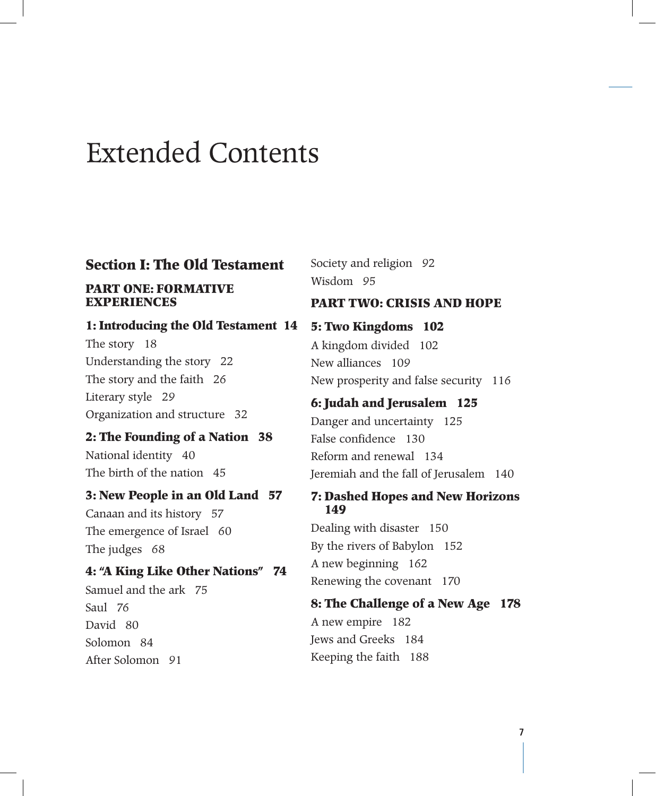# Extended Contents

## **Section I: The Old Testament**

#### **PART ONE: FORMATIVE EXPERIENCES**

#### **1: Introducing the Old Testament 14**

The story 18 Understanding the story 22 The story and the faith 26 Literary style 29 Organization and structure 32

#### **2: The Founding of a Nation 38**

National identity 40 The birth of the nation 45

#### **3: New People in an Old Land 57**

Canaan and its history 57 The emergence of Israel 60 The judges 68

#### **4: "A King Like Other Nations" 74**

Samuel and the ark 75 Saul 76 David 80 Solomon 84 After Solomon 91

Society and religion 92 Wisdom 95

#### **PART two: crisis and hope**

**5: Two Kingdoms 102** A kingdom divided 102 New alliances 109 New prosperity and false security 116 **6: Judah and Jerusalem 125** Danger and uncertainty 125 False confidence 130 Reform and renewal 134

Jeremiah and the fall of Jerusalem 140

#### **7: Dashed Hopes and New Horizons 149**

Dealing with disaster 150 By the rivers of Babylon 152 A new beginning 162 Renewing the covenant 170

#### **8: The Challenge of a New Age 178**

A new empire 182 Jews and Greeks 184 Keeping the faith 188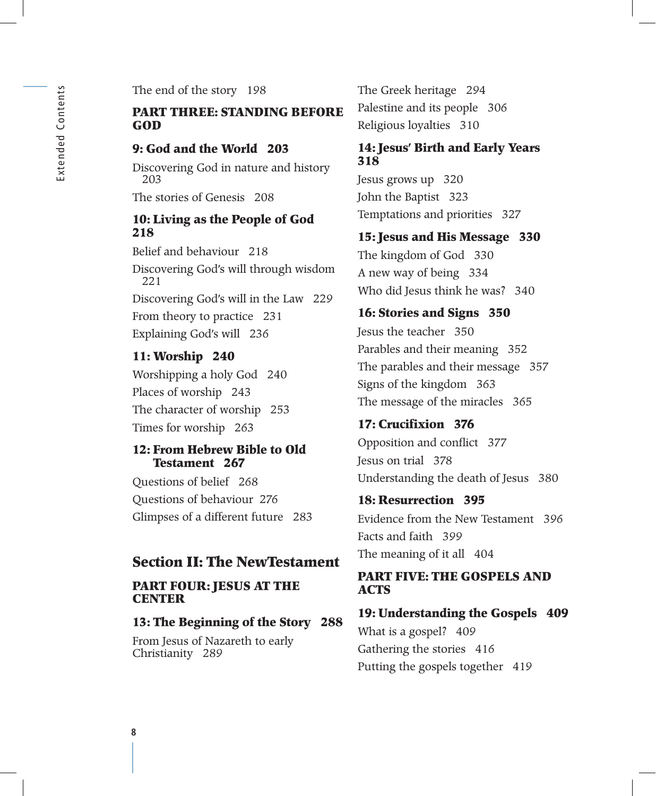The end of the story 198

#### **PART three: standing before god**

#### **9: God and the World 203**

Discovering God in nature and history 203

The stories of Genesis 208

#### **10: Living as the People of God 218**

Belief and behaviour 218 Discovering God's will through wisdom 221 Discovering God's will in the Law 229 From theory to practice 231 Explaining God's will 236

#### **11: Worship 240**

Worshipping a holy God 240 Places of worship 243 The character of worship 253 Times for worship 263

#### **12: From Hebrew Bible to Old Testament 267**

Questions of belief 268 Questions of behaviour 276 Glimpses of a different future 283

#### **Section II: The NewTestament**

#### **PART four: jesus at the center**

#### **13: The Beginning of the Story 288**

From Jesus of Nazareth to early Christianity 289

The Greek heritage 294 Palestine and its people 306 Religious loyalties 310

#### **14: Jesus' Birth and Early Years 318**

Jesus grows up 320 John the Baptist 323 Temptations and priorities 327

#### **15: Jesus and His Message 330**

The kingdom of God 330 A new way of being 334 Who did Jesus think he was? 340

#### **16: Stories and Signs 350**

Jesus the teacher 350 Parables and their meaning 352 The parables and their message 357 Signs of the kingdom 363 The message of the miracles 365

## **17: Crucifixion 376** Opposition and conflict 377

Jesus on trial 378 Understanding the death of Jesus 380

# **18: Resurrection 395** Evidence from the New Testament 396 Facts and faith 399 The meaning of it all 404

#### **PART five: the gospels and acts**

**19: Understanding the Gospels 409** What is a gospel? 409 Gathering the stories 416 Putting the gospels together 419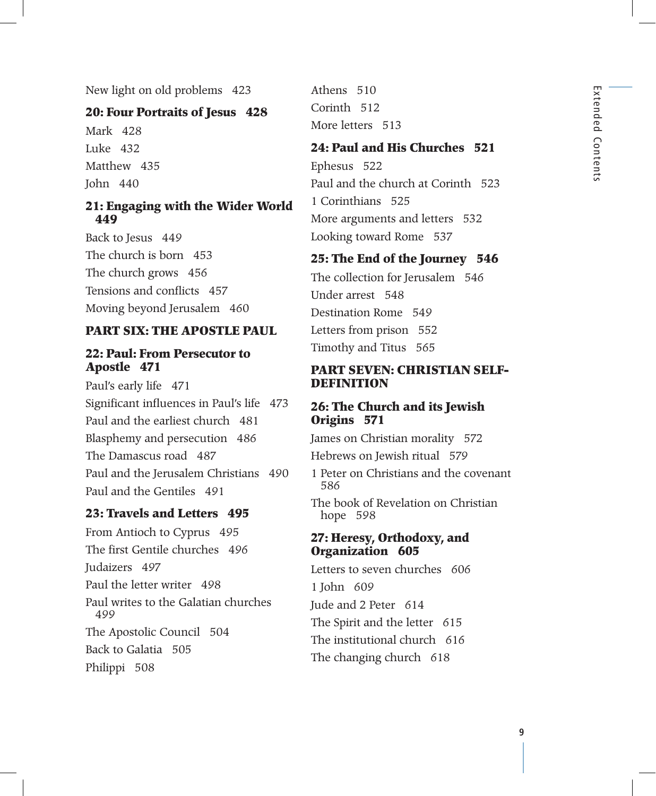New light on old problems 423

#### **20: Four Portraits of Jesus 428**

Mark 428 Luke 432 Matthew 435 John 440

#### **21: Engaging with the Wider World 449**

Back to Jesus 449 The church is born 453 The church grows 456 Tensions and conflicts 457 Moving beyond Jerusalem 460

#### **PART six: the apostle paul**

#### **22: Paul: From Persecutor to Apostle 471**

Paul's early life 471 Significant influences in Paul's life 473 Paul and the earliest church 481 Blasphemy and persecution 486 The Damascus road 487 Paul and the Jerusalem Christians 490 Paul and the Gentiles 491

#### **23: Travels and Letters 495**

From Antioch to Cyprus 495 The first Gentile churches 496 Judaizers 497 Paul the letter writer 498 Paul writes to the Galatian churches 499 The Apostolic Council 504 Back to Galatia 505 Philippi 508

Athens 510 Corinth 512 More letters 513

#### **24: Paul and His Churches 521**

Ephesus 522 Paul and the church at Corinth 523 1 Corinthians 525 More arguments and letters 532 Looking toward Rome 537

#### **25: The End of the Journey 546**

The collection for Jerusalem 546 Under arrest 548 Destination Rome 549 Letters from prison 552 Timothy and Titus 565

#### **PART seven: christian selfdefinition**

#### **26: The Church and its Jewish Origins 571**

James on Christian morality 572

Hebrews on Jewish ritual 579

1 Peter on Christians and the covenant 586

The book of Revelation on Christian hope 598

#### **27: Heresy, Orthodoxy, and Organization 605**

Letters to seven churches 606 1 John 609 Jude and 2 Peter 614 The Spirit and the letter 615 The institutional church 616 The changing church 618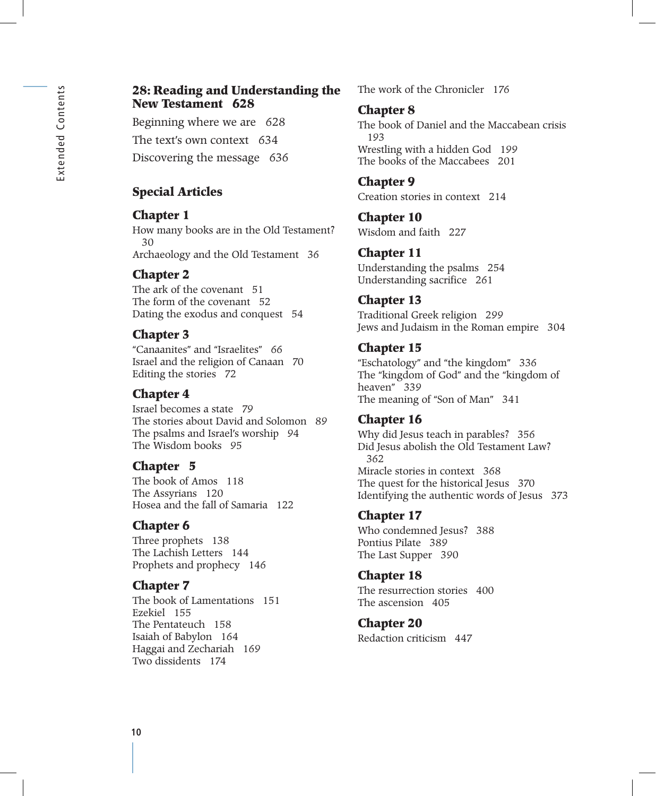#### **28: Reading and Understanding the New Testament 628**

Beginning where we are 628 The text's own context 634 Discovering the message 636

## **Special Articles**

## **Chapter 1**

How many books are in the Old Testament? 30 Archaeology and the Old Testament 36

## **Chapter 2**

The ark of the covenant 51 The form of the covenant 52 Dating the exodus and conquest 54

## **Chapter 3**

"Canaanites" and "Israelites" 66 Israel and the religion of Canaan 70 Editing the stories 72

## **Chapter 4**

Israel becomes a state 79 The stories about David and Solomon 89 The psalms and Israel's worship 94 The Wisdom books 95

## **Chapter 5**

The book of Amos 118 The Assyrians 120 Hosea and the fall of Samaria 122

## **Chapter 6**

Three prophets 138 The Lachish Letters 144 Prophets and prophecy 146

## **Chapter 7**

The book of Lamentations 151 Ezekiel 155 The Pentateuch 158 Isaiah of Babylon 164 Haggai and Zechariah 169 Two dissidents 174

The work of the Chronicler 176

## **Chapter 8**

The book of Daniel and the Maccabean crisis 193 Wrestling with a hidden God 199 The books of the Maccabees 201

## **Chapter 9**

Creation stories in context 214

## **Chapter 10**

Wisdom and faith 227

## **Chapter 11**

Understanding the psalms 254 Understanding sacrifice 261

## **Chapter 13**

Traditional Greek religion 299 Jews and Judaism in the Roman empire 304

## **Chapter 15**

"Eschatology" and "the kingdom" 336 The "kingdom of God" and the "kingdom of heaven" 339 The meaning of "Son of Man" 341

## **Chapter 16**

Why did Jesus teach in parables? 356 Did Jesus abolish the Old Testament Law? 362 Miracle stories in context 368 The quest for the historical Jesus 370 Identifying the authentic words of Jesus 373

## **Chapter 17**

Who condemned Jesus? 388 Pontius Pilate 389 The Last Supper 390

## **Chapter 18**

The resurrection stories 400 The ascension 405

## **Chapter 20**

Redaction criticism 447